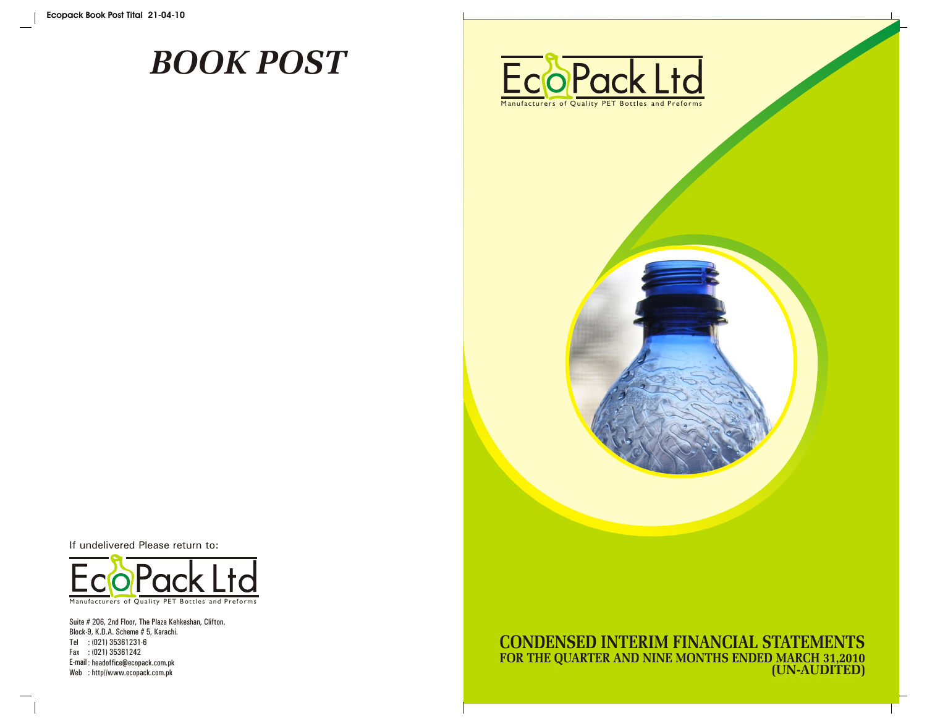# *BOOK POST*





If undelivered Please return to:



Suite # 206, 2nd Floor, The Plaza Kehkeshan, Clifton, Block-9, K.D.A. Scheme # 5, Karachi. Tel : (021) 35361231-6 Fax : (021) 35361242 E-mail : headoffice@ecopack.com.pk Web : http//www.ecopack.com.pk

**CONDENSED INTERIM FINANCIAL STATEMENTS FOR THE QUARTER AND NINE MONTHS ENDED MARCH 31,2010 (UN-AUDITED)**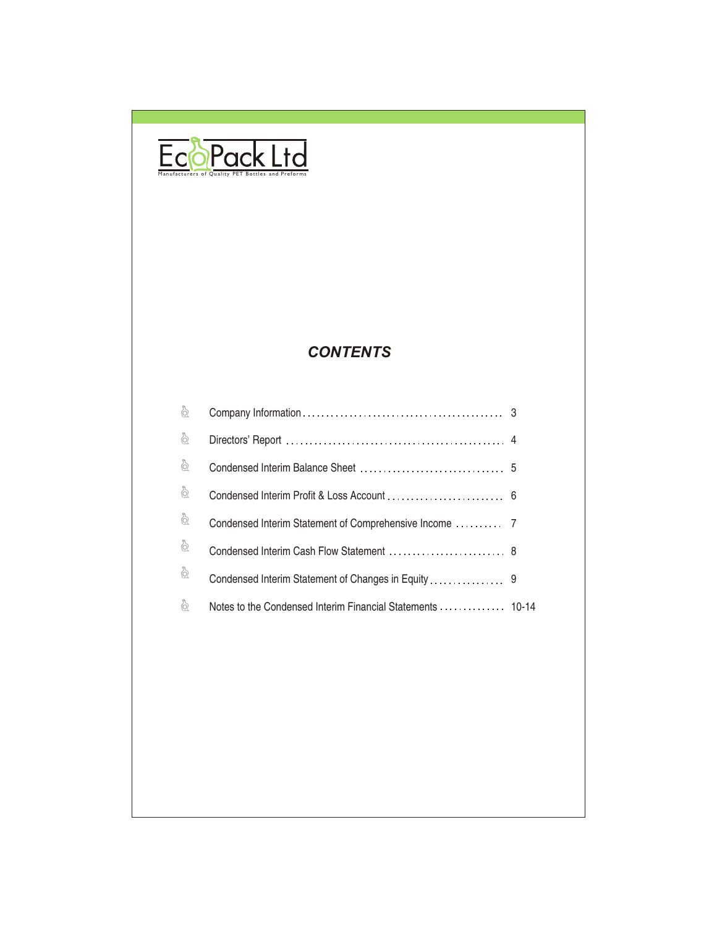

# *CONTENTS*

| $\delta$                     |                                                            |  |
|------------------------------|------------------------------------------------------------|--|
| ò                            |                                                            |  |
| ò                            |                                                            |  |
| ò                            |                                                            |  |
| $\frac{\delta}{\mathcal{Q}}$ |                                                            |  |
| ò                            | Condensed Interim Cash Flow Statement  8                   |  |
| ò                            |                                                            |  |
| ò                            | Notes to the Condensed Interim Financial Statements  10-14 |  |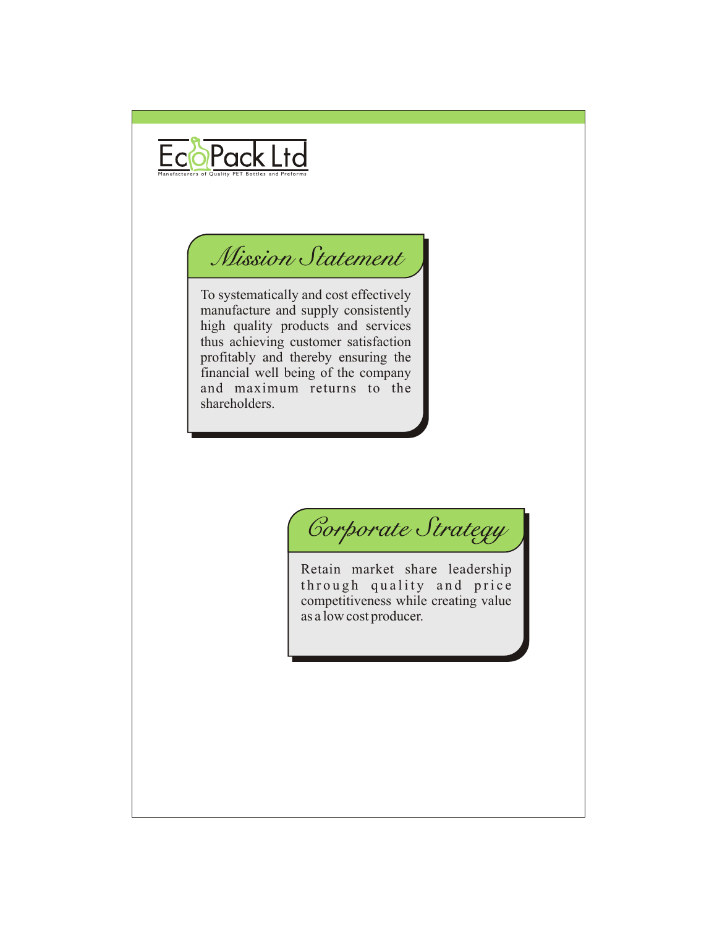

# *Mission Statement*

To systematically and cost effectively manufacture and supply consistently high quality products and services thus achieving customer satisfaction profitably and thereby ensuring the financial well being of the company and maximum returns to the shareholders.

*Corporate Strategy*

Retain market share leadership through quality and price competitiveness while creating value as a low cost producer.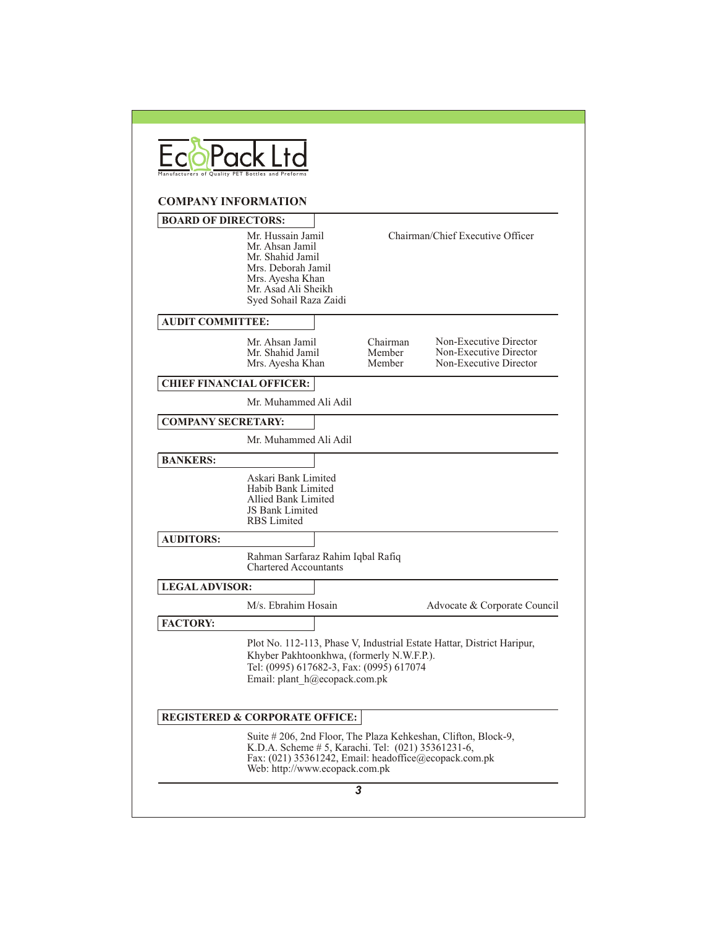| <b>COMPANY INFORMATION</b> |                                                                                                                                                     |                                                                                                             |                                                                            |
|----------------------------|-----------------------------------------------------------------------------------------------------------------------------------------------------|-------------------------------------------------------------------------------------------------------------|----------------------------------------------------------------------------|
| <b>BOARD OF DIRECTORS:</b> |                                                                                                                                                     |                                                                                                             |                                                                            |
|                            | Mr. Hussain Jamil<br>Mr. Ahsan Jamil<br>Mr. Shahid Jamil<br>Mrs. Deborah Jamil<br>Mrs. Ayesha Khan<br>Mr. Asad Ali Sheikh<br>Syed Sohail Raza Zaidi |                                                                                                             | Chairman/Chief Executive Officer                                           |
| <b>AUDIT COMMITTEE:</b>    |                                                                                                                                                     |                                                                                                             |                                                                            |
|                            | Mr. Ahsan Jamil<br>Mr. Shahid Jamil<br>Mrs. Ayesha Khan                                                                                             | Chairman<br>Member<br>Member                                                                                | Non-Executive Director<br>Non-Executive Director<br>Non-Executive Director |
|                            | <b>CHIEF FINANCIAL OFFICER:</b>                                                                                                                     |                                                                                                             |                                                                            |
|                            | Mr. Muhammed Ali Adil                                                                                                                               |                                                                                                             |                                                                            |
| <b>COMPANY SECRETARY:</b>  |                                                                                                                                                     |                                                                                                             |                                                                            |
|                            | Mr. Muhammed Ali Adil                                                                                                                               |                                                                                                             |                                                                            |
| <b>BANKERS:</b>            |                                                                                                                                                     |                                                                                                             |                                                                            |
|                            | Askari Bank Limited<br>Habib Bank Limited<br>Allied Bank Limited<br>JS Bank Limited<br><b>RBS</b> Limited                                           |                                                                                                             |                                                                            |
| <b>AUDITORS:</b>           |                                                                                                                                                     |                                                                                                             |                                                                            |
|                            | Rahman Sarfaraz Rahim Iqbal Rafiq<br><b>Chartered Accountants</b>                                                                                   |                                                                                                             |                                                                            |
| <b>LEGAL ADVISOR:</b>      |                                                                                                                                                     |                                                                                                             |                                                                            |
|                            | M/s. Ebrahim Hosain                                                                                                                                 |                                                                                                             | Advocate & Corporate Council                                               |
| <b>FACTORY:</b>            | Khyber Pakhtoonkhwa, (formerly N.W.F.P.).<br>Tel: (0995) 617682-3, Fax: (0995) 617074<br>Email: plant h@ecopack.com.pk                              |                                                                                                             | Plot No. 112-113, Phase V, Industrial Estate Hattar, District Haripur,     |
|                            | <b>REGISTERED &amp; CORPORATE OFFICE:</b>                                                                                                           |                                                                                                             |                                                                            |
|                            |                                                                                                                                                     | K.D.A. Scheme # 5, Karachi. Tel: (021) 35361231-6,<br>Fax: (021) 35361242, Email: headoffice@ecopack.com.pk | Suite #206, 2nd Floor, The Plaza Kehkeshan, Clifton, Block-9,              |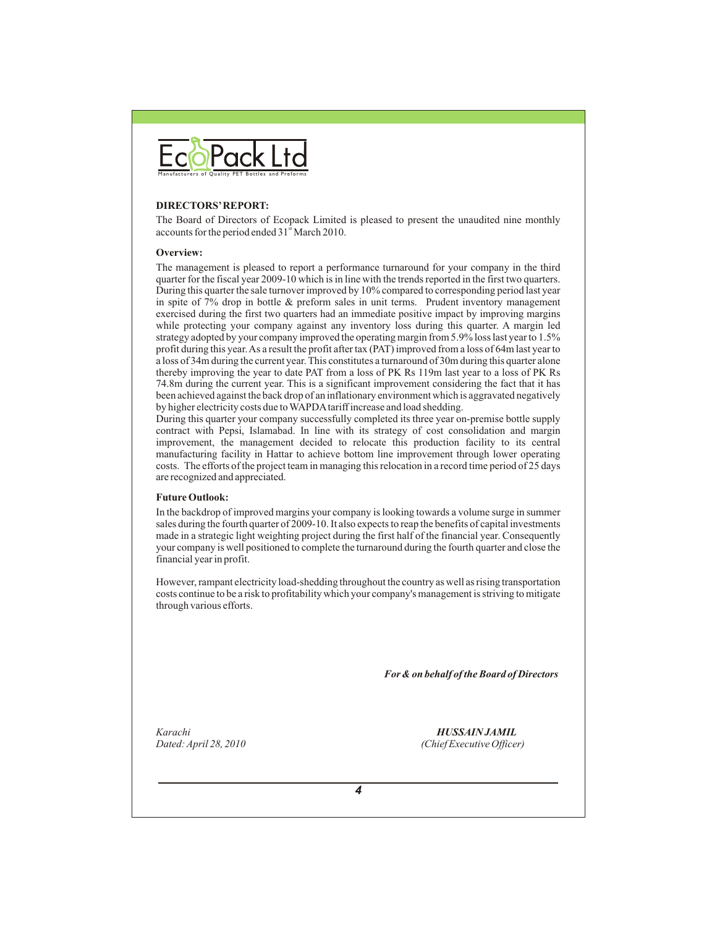

#### **DIRECTORS' REPORT:**

The Board of Directors of Ecopack Limited is pleased to present the unaudited nine monthly accounts for the period ended 31<sup>st</sup> March 2010.

#### **Overview:**

The management is pleased to report a performance turnaround for your company in the third quarter for the fiscal year 2009-10 which is in line with the trends reported in the first two quarters. During this quarter the sale turnover improved by 10% compared to corresponding period last year in spite of 7% drop in bottle & preform sales in unit terms. Prudent inventory management exercised during the first two quarters had an immediate positive impact by improving margins while protecting your company against any inventory loss during this quarter. A margin led strategy adopted by your company improved the operating margin from 5.9% loss last year to 1.5% profit during this year. As a result the profit after tax (PAT) improved from a loss of 64m last year to a loss of 34m during the current year. This constitutes a turnaround of 30m during this quarter alone thereby improving the year to date PAT from a loss of PK Rs 119m last year to a loss of PK Rs 74.8m during the current year. This is a significant improvement considering the fact that it has been achieved against the back drop of an inflationary environment which is aggravated negatively by higher electricity costs due to WAPDA tariff increase and load shedding.

During this quarter your company successfully completed its three year on-premise bottle supply contract with Pepsi, Islamabad. In line with its strategy of cost consolidation and margin improvement, the management decided to relocate this production facility to its central manufacturing facility in Hattar to achieve bottom line improvement through lower operating costs. The efforts of the project team in managing this relocation in a record time period of 25 days are recognized and appreciated.

#### **Future Outlook:**

In the backdrop of improved margins your company is looking towards a volume surge in summer sales during the fourth quarter of 2009-10. It also expects to reap the benefits of capital investments made in a strategic light weighting project during the first half of the financial year. Consequently your company is well positioned to complete the turnaround during the fourth quarter and close the financial year in profit.

However, rampant electricity load-shedding throughout the country as well as rising transportation costs continue to be a risk to profitability which your company's management is striving to mitigate through various efforts.

 *For & on behalf of the Board of Directors*

*Karachi HUSSAIN JAMIL*

*Dated: April 28, 2010 (Chief Executive Officer)*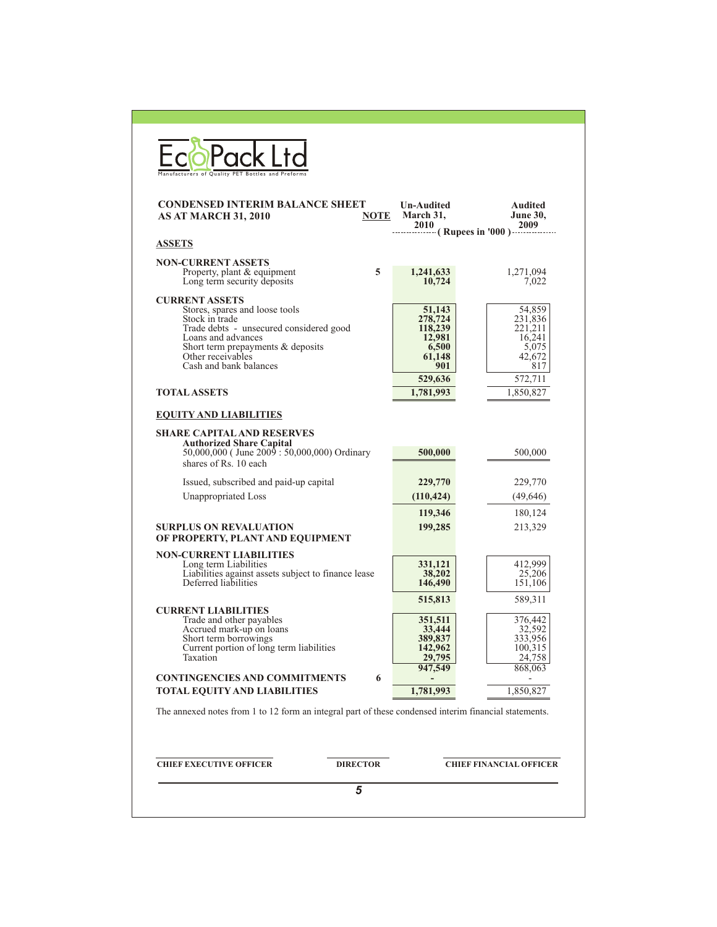| <b>CONDENSED INTERIM BALANCE SHEET</b><br><b>AS AT MARCH 31, 2010</b><br>NOTE                                                                                                                                                  | Un-Audited<br>March 31,<br>2010 (Rupees in '000)                            | <b>Audited</b><br><b>June 30,</b><br>2009                                   |
|--------------------------------------------------------------------------------------------------------------------------------------------------------------------------------------------------------------------------------|-----------------------------------------------------------------------------|-----------------------------------------------------------------------------|
| <b>ASSETS</b>                                                                                                                                                                                                                  |                                                                             |                                                                             |
| <b>NON-CURRENT ASSETS</b><br>Property, plant & equipment<br>5<br>Long term security deposits                                                                                                                                   | 1,241,633<br>10.724                                                         | 1,271,094<br>7,022                                                          |
| <b>CURRENT ASSETS</b><br>Stores, spares and loose tools<br>Stock in trade<br>Trade debts - unsecured considered good<br>Loans and advances<br>Short term prepayments & deposits<br>Other receivables<br>Cash and bank balances | 51,143<br>278,724<br>118,239<br>12,981<br>6,500<br>61,148<br>901<br>529,636 | 54,859<br>231,836<br>221,211<br>16,241<br>5,075<br>42,672<br>817<br>572,711 |
| <b>TOTAL ASSETS</b>                                                                                                                                                                                                            | 1,781,993                                                                   | 1,850,827                                                                   |
| <b>EQUITY AND LIABILITIES</b>                                                                                                                                                                                                  |                                                                             |                                                                             |
| SHARE CAPITAL AND RESERVES<br><b>Authorized Share Capital</b><br>50,000,000 (June 2009 : 50,000,000) Ordinary<br>shares of Rs. 10 each                                                                                         | 500,000                                                                     | 500,000                                                                     |
| Issued, subscribed and paid-up capital                                                                                                                                                                                         | 229,770                                                                     | 229,770                                                                     |
| Unappropriated Loss                                                                                                                                                                                                            | (110, 424)                                                                  | (49, 646)                                                                   |
|                                                                                                                                                                                                                                | 119,346                                                                     | 180,124                                                                     |
| <b>SURPLUS ON REVALUATION</b><br>OF PROPERTY, PLANT AND EQUIPMENT                                                                                                                                                              | 199,285                                                                     | 213,329                                                                     |
| <b>NON-CURRENT LIABILITIES</b><br>Long term Liabilities<br>Liabilities against assets subject to finance lease<br>Deferred liabilities                                                                                         | 331,121<br>38,202<br>146,490<br>515,813                                     | 412,999<br>25,206<br>151,106<br>589,311                                     |
| <b>CURRENT LIABILITIES</b><br>Trade and other payables<br>Accrued mark-up on loans<br>Short term borrowings<br>Current portion of long term liabilities<br>Taxation                                                            | 351,511<br>33,444<br>389,837<br>142,962<br>29,795                           | 376,442<br>32,592<br>333,956<br>100,315<br>24,758                           |
| <b>CONTINGENCIES AND COMMITMENTS</b><br>6<br><b>TOTAL EQUITY AND LIABILITIES</b>                                                                                                                                               | 947,549<br>1,781,993                                                        | 868,063<br>1,850,827                                                        |
| The annexed notes from 1 to 12 form an integral part of these condensed interim financial statements.                                                                                                                          |                                                                             |                                                                             |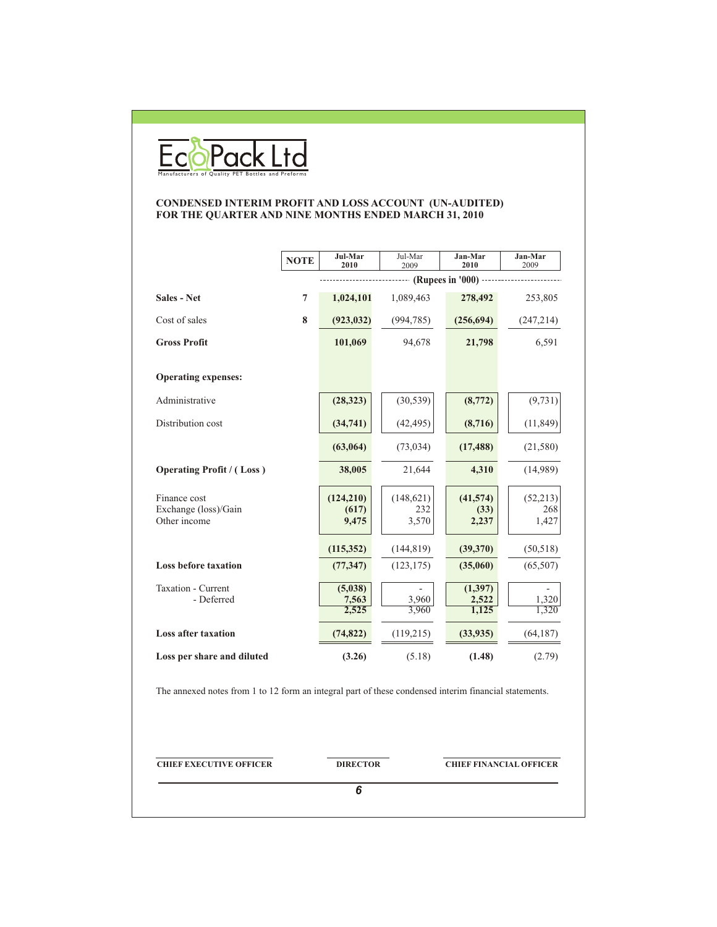

#### **CONDENSED INTERIM PROFIT AND LOSS ACCOUNT (UN-AUDITED) FOR THE QUARTER AND NINE MONTHS ENDED MARCH 31, 2010**

|                                                                                                       | <b>NOTE</b> | Jul-Mar<br>2010  | Jul-Mar<br>2009 | Jan-Mar<br>2010                | Jan-Mar<br>2009 |
|-------------------------------------------------------------------------------------------------------|-------------|------------------|-----------------|--------------------------------|-----------------|
|                                                                                                       |             |                  |                 | $-$ (Rupees in '000) $-$       |                 |
| Sales - Net                                                                                           | 7           | 1,024,101        | 1,089,463       | 278,492                        | 253,805         |
| Cost of sales                                                                                         | 8           | (923, 032)       | (994, 785)      | (256, 694)                     | (247, 214)      |
| <b>Gross Profit</b>                                                                                   |             | 101,069          | 94,678          | 21,798                         | 6,591           |
| <b>Operating expenses:</b>                                                                            |             |                  |                 |                                |                 |
| Administrative                                                                                        |             | (28, 323)        | (30, 539)       | (8,772)                        | (9, 731)        |
| Distribution cost                                                                                     |             | (34,741)         | (42, 495)       | (8,716)                        | (11, 849)       |
|                                                                                                       |             | (63,064)         | (73, 034)       | (17, 488)                      | (21, 580)       |
| <b>Operating Profit / (Loss)</b>                                                                      |             | 38,005           | 21,644          | 4,310                          | (14,989)        |
| Finance cost                                                                                          |             | (124, 210)       | (148, 621)      | (41,574)                       | (52, 213)       |
| Exchange (loss)/Gain<br>Other income                                                                  |             | (617)<br>9,475   | 232<br>3,570    | (33)<br>2,237                  | 268<br>1,427    |
|                                                                                                       |             | (115, 352)       | (144, 819)      | (39,370)                       | (50, 518)       |
| <b>Loss before taxation</b>                                                                           |             | (77, 347)        | (123, 175)      | (35,060)                       | (65, 507)       |
| Taxation - Current<br>- Deferred                                                                      |             | (5,038)<br>7,563 | 3,960           | (1, 397)<br>2,522              | 1,320           |
|                                                                                                       |             | 2,525            | 3,960           | 1,125                          | 1,320           |
| <b>Loss after taxation</b>                                                                            |             | (74, 822)        | (119,215)       | (33, 935)                      | (64, 187)       |
| Loss per share and diluted                                                                            |             | (3.26)           | (5.18)          | (1.48)                         | (2.79)          |
| The annexed notes from 1 to 12 form an integral part of these condensed interim financial statements. |             |                  |                 |                                |                 |
| <b>CHIEF EXECUTIVE OFFICER</b>                                                                        |             | <b>DIRECTOR</b>  |                 | <b>CHIEF FINANCIAL OFFICER</b> |                 |

*6*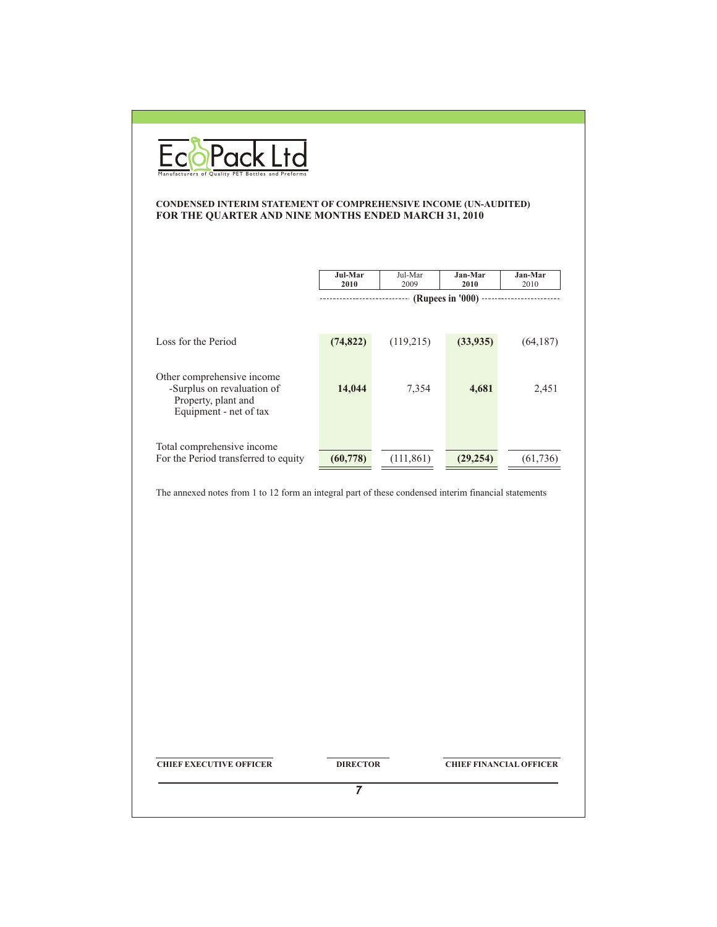

#### **CONDENSED INTERIM STATEMENT OF COMPREHENSIVE INCOME (UN-AUDITED) FOR THE QUARTER AND NINE MONTHS ENDED MARCH 31, 2010**

|                                                                                                           | Jul-Mar<br>2010         | Jul-Mar<br>2009 | Jan-Mar<br>2010 | Jan-Mar<br>2010 |
|-----------------------------------------------------------------------------------------------------------|-------------------------|-----------------|-----------------|-----------------|
|                                                                                                           | -- (Rupees in '000) --- |                 |                 |                 |
| Loss for the Period                                                                                       | (74, 822)               | (119,215)       | (33,935)        | (64, 187)       |
| Other comprehensive income<br>-Surplus on revaluation of<br>Property, plant and<br>Equipment - net of tax | 14,044                  | 7,354           | 4,681           | 2,451           |
| Total comprehensive income<br>For the Period transferred to equity                                        | (60, 778)               | (111, 861)      | (29, 254)       | (61, 736)       |
| The annexed notes from 1 to 12 form an integral part of these condensed interim financial statements      |                         |                 |                 |                 |

**CHIEF EXECUTIVE OFFICER DIRECTOR CHIEF FINANCIAL OFFICER** 

*7*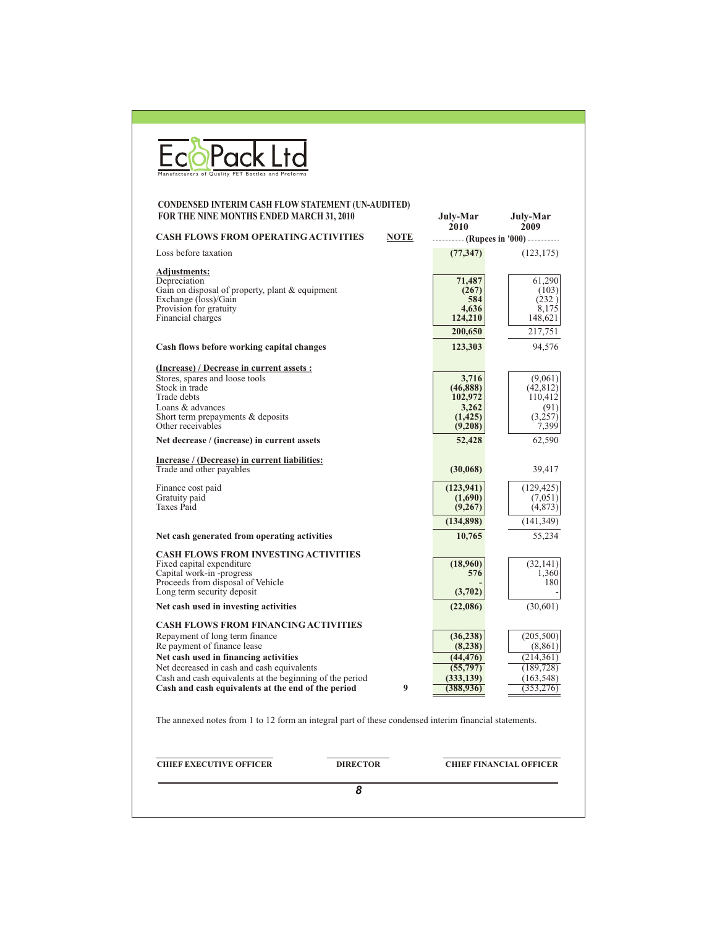| Manufacturers of Quality PET Bottles and Preforms                                                                                                                                                                                                                                                                     |             |                                                                            |                                                                               |
|-----------------------------------------------------------------------------------------------------------------------------------------------------------------------------------------------------------------------------------------------------------------------------------------------------------------------|-------------|----------------------------------------------------------------------------|-------------------------------------------------------------------------------|
| <b>CONDENSED INTERIM CASH FLOW STATEMENT (UN-AUDITED)</b><br>FOR THE NINE MONTHS ENDED MARCH 31, 2010                                                                                                                                                                                                                 |             | July-Mar<br>2010                                                           | July-Mar<br>2009                                                              |
| <b>CASH FLOWS FROM OPERATING ACTIVITIES</b>                                                                                                                                                                                                                                                                           | <b>NOTE</b> | (Rupees in '000)                                                           |                                                                               |
| Loss before taxation                                                                                                                                                                                                                                                                                                  |             | (77, 347)                                                                  | (123, 175)                                                                    |
| <b>Adjustments:</b><br>Depreciation<br>Gain on disposal of property, plant & equipment<br>Exchange (loss)/Gain<br>Provision for gratuity<br>Financial charges                                                                                                                                                         |             | 71,487<br>(267)<br>584<br>4,636<br>124,210                                 | 61,290<br>(103)<br>(232)<br>8,175<br>148,621                                  |
|                                                                                                                                                                                                                                                                                                                       |             | 200,650                                                                    | 217,751                                                                       |
| Cash flows before working capital changes                                                                                                                                                                                                                                                                             |             | 123,303                                                                    | 94,576                                                                        |
| (Increase) / Decrease in current assets :<br>Stores, spares and loose tools<br>Stock in trade<br>Trade debts<br>Loans & advances<br>Short term prepayments $&$ deposits<br>Other receivables                                                                                                                          |             | 3,716<br>(46, 888)<br>102,972<br>3,262<br>(1, 425)                         | (9,061)<br>(42, 812)<br>110,412<br>(91)<br>(3,257)                            |
|                                                                                                                                                                                                                                                                                                                       |             | (9,208)                                                                    | 7,399                                                                         |
| Net decrease / (increase) in current assets                                                                                                                                                                                                                                                                           |             | 52,428                                                                     | 62,590                                                                        |
| Increase / (Decrease) in current liabilities:<br>Trade and other payables                                                                                                                                                                                                                                             |             | (30,068)                                                                   | 39,417                                                                        |
| Finance cost paid<br>Gratuity paid<br>Taxes Paid                                                                                                                                                                                                                                                                      |             | (123, 941)<br>(1,690)<br>(9,267)<br>(134,898)                              | (129, 425)<br>(7,051)<br>(4,873)                                              |
| Net cash generated from operating activities                                                                                                                                                                                                                                                                          |             | 10,765                                                                     | (141, 349)<br>55,234                                                          |
|                                                                                                                                                                                                                                                                                                                       |             |                                                                            |                                                                               |
| <b>CASH FLOWS FROM INVESTING ACTIVITIES</b><br>Fixed capital expenditure<br>Capital work-in-progress<br>Proceeds from disposal of Vehicle<br>Long term security deposit                                                                                                                                               |             | (18,960)<br>576<br>(3,702)                                                 | (32, 141)<br>1,360<br>180                                                     |
| Net cash used in investing activities                                                                                                                                                                                                                                                                                 |             | (22,086)                                                                   | (30,601)                                                                      |
| <b>CASH FLOWS FROM FINANCING ACTIVITIES</b><br>Repayment of long term finance<br>Re payment of finance lease<br>Net cash used in financing activities<br>Net decreased in cash and cash equivalents<br>Cash and cash equivalents at the beginning of the period<br>Cash and cash equivalents at the end of the period | 9           | (36, 238)<br>(8,238)<br>(44, 476)<br>(55, 797)<br>(333, 139)<br>(388, 936) | (205, 500)<br>(8,861)<br>(214, 361)<br>(189, 728)<br>(163, 548)<br>(353, 276) |
| The annexed notes from 1 to 12 form an integral part of these condensed interim financial statements.                                                                                                                                                                                                                 |             |                                                                            |                                                                               |
| <b>CHIEF EXECUTIVE OFFICER</b><br><b>DIRECTOR</b>                                                                                                                                                                                                                                                                     |             |                                                                            | <b>CHIEF FINANCIAL OFFICER</b>                                                |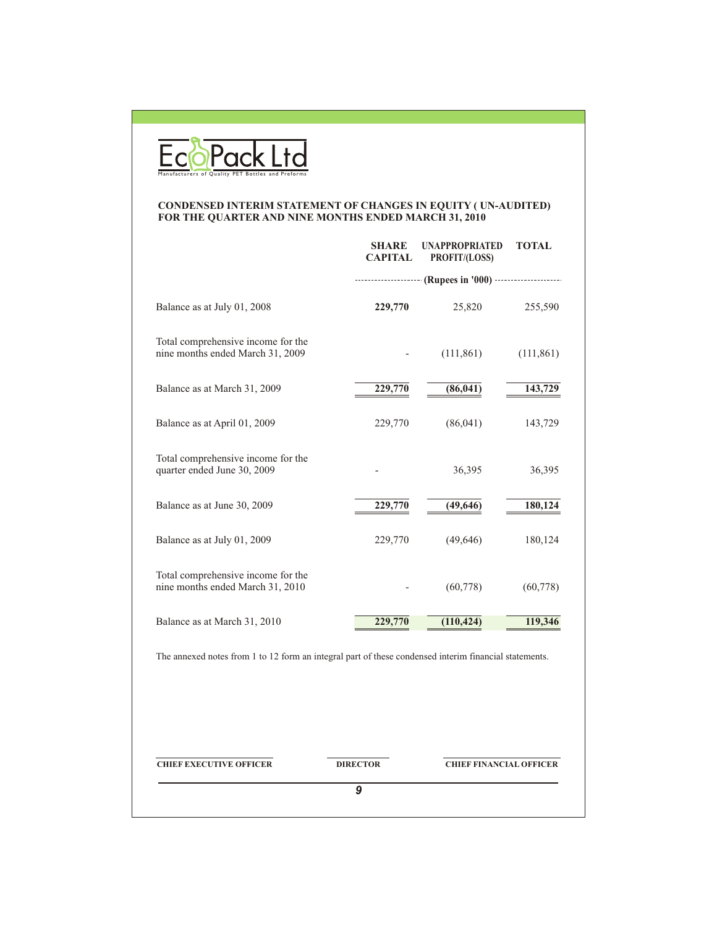

#### **CONDENSED INTERIM STATEMENT OF CHANGES IN EQUITY ( UN-AUDITED) FOR THE QUARTER AND NINE MONTHS ENDED MARCH 31, 2010**

|                                                                                                       | <b>SHARE</b><br><b>CAPITAL</b> | <b>UNAPPROPRIATED</b><br>PROFIT/(LOSS) | <b>TOTAL</b> |
|-------------------------------------------------------------------------------------------------------|--------------------------------|----------------------------------------|--------------|
|                                                                                                       |                                | (Rupees in '000)                       |              |
| Balance as at July 01, 2008                                                                           | 229,770                        | 25,820                                 | 255,590      |
| Total comprehensive income for the<br>nine months ended March 31, 2009                                |                                | (111, 861)                             | (111, 861)   |
| Balance as at March 31, 2009                                                                          | 229,770                        | (86, 041)                              | 143,729      |
| Balance as at April 01, 2009                                                                          | 229,770                        | (86,041)                               | 143,729      |
| Total comprehensive income for the<br>quarter ended June 30, 2009                                     |                                | 36,395                                 | 36,395       |
| Balance as at June 30, 2009                                                                           | 229,770                        | (49, 646)                              | 180,124      |
| Balance as at July 01, 2009                                                                           | 229,770                        | (49,646)                               | 180,124      |
| Total comprehensive income for the<br>nine months ended March 31, 2010                                |                                | (60, 778)                              | (60, 778)    |
| Balance as at March 31, 2010                                                                          | 229,770                        | (110, 424)                             | 119,346      |
| The annexed notes from 1 to 12 form an integral part of these condensed interim financial statements. |                                |                                        |              |
| <b>CHIEF EXECUTIVE OFFICER</b>                                                                        | <b>DIRECTOR</b>                | <b>CHIEF FINANCIAL OFFICER</b>         |              |
|                                                                                                       | 9                              |                                        |              |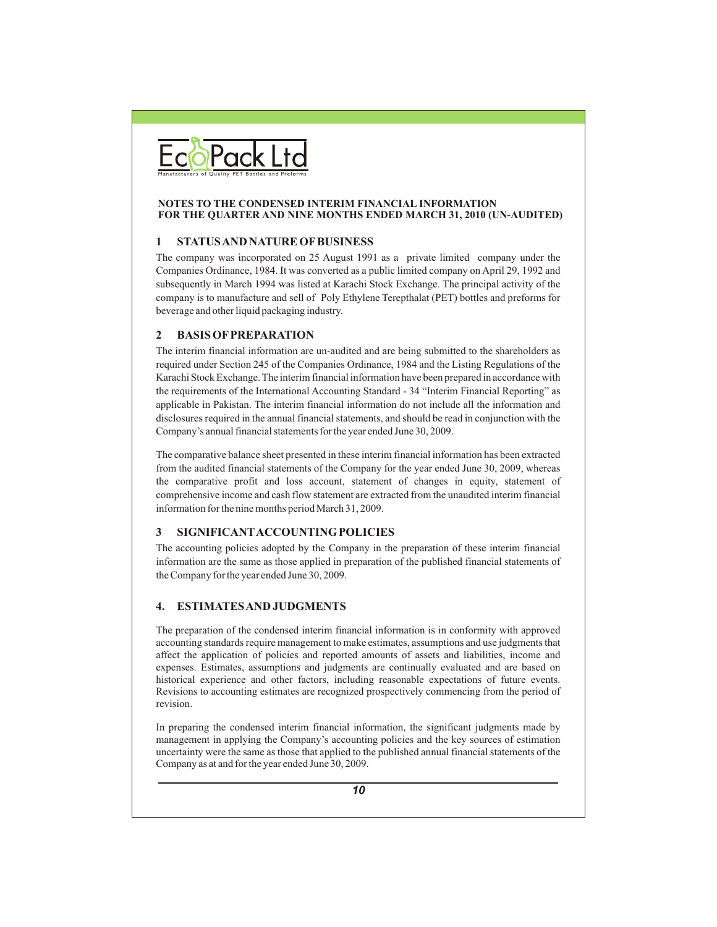

#### **NOTES TO THE CONDENSED INTERIM FINANCIAL INFORMATION FOR THE QUARTER AND NINE MONTHS ENDED MARCH 31, 2010 (UN-AUDITED)**

#### **1 STATUS AND NATURE OF BUSINESS**

The company was incorporated on 25 August 1991 as a private limited company under the Companies Ordinance, 1984. It was converted as a public limited company on April 29, 1992 and subsequently in March 1994 was listed at Karachi Stock Exchange. The principal activity of the company is to manufacture and sell of Poly Ethylene Terepthalat (PET) bottles and preforms for beverage and other liquid packaging industry.

#### **2 BASIS OF PREPARATION**

The interim financial information are un-audited and are being submitted to the shareholders as required under Section 245 of the Companies Ordinance, 1984 and the Listing Regulations of the Karachi Stock Exchange. The interim financial information have been prepared in accordance with the requirements of the International Accounting Standard - 34 "Interim Financial Reporting" as applicable in Pakistan. The interim financial information do not include all the information and disclosures required in the annual financial statements, and should be read in conjunction with the Company's annual financial statements for the year ended June 30, 2009.

The comparative balance sheet presented in these interim financial information has been extracted from the audited financial statements of the Company for the year ended June 30, 2009, whereas the comparative profit and loss account, statement of changes in equity, statement of comprehensive income and cash flow statement are extracted from the unaudited interim financial information for the nine months period March 31, 2009.

#### **3 SIGNIFICANTACCOUNTINGPOLICIES**

The accounting policies adopted by the Company in the preparation of these interim financial information are the same as those applied in preparation of the published financial statements of the Company for the year ended June 30, 2009.

#### **4. ESTIMATES AND JUDGMENTS**

The preparation of the condensed interim financial information is in conformity with approved accounting standards require management to make estimates, assumptions and use judgments that affect the application of policies and reported amounts of assets and liabilities, income and expenses. Estimates, assumptions and judgments are continually evaluated and are based on historical experience and other factors, including reasonable expectations of future events. Revisions to accounting estimates are recognized prospectively commencing from the period of revision.

In preparing the condensed interim financial information, the significant judgments made by management in applying the Company's accounting policies and the key sources of estimation uncertainty were the same as those that applied to the published annual financial statements of the Company as at and for the year ended June 30, 2009.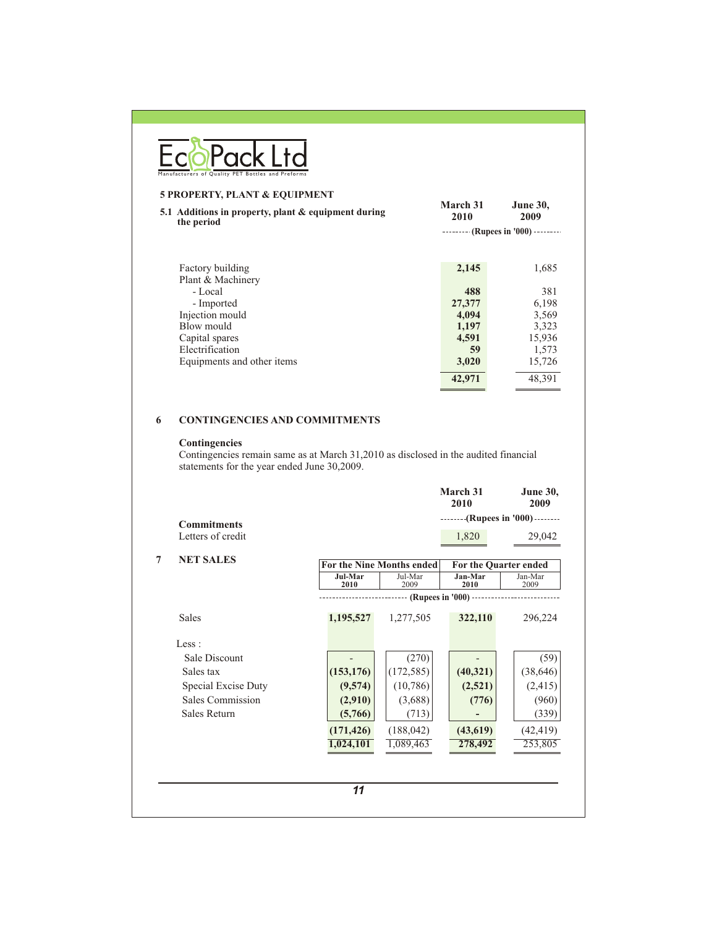| March 31<br>2010          | <b>June 30,</b><br>2009 |
|---------------------------|-------------------------|
| (Rupees in '000) -------- |                         |
| 2,145                     | 1,685                   |
| 488<br>27,377             | 381<br>6,198            |
| 4,094<br>1,197            | 3,569<br>3,323          |
| 4,591<br>59               | 15,936<br>1,573         |
| 42,971                    | 15,726<br>48,391        |
|                           | 3,020                   |

## **6 CONTINGENCIES AND COMMITMENTS**

#### **Contingencies**

Contingencies remain same as at March 31,2010 as disclosed in the audited financial statements for the year ended June 30,2009.

|                     |                        |                 | March 31<br>2010 | <b>June 30,</b><br>2009                                                                                           |
|---------------------|------------------------|-----------------|------------------|-------------------------------------------------------------------------------------------------------------------|
|                     |                        |                 |                  |                                                                                                                   |
| Letters of credit   |                        |                 | 1,820            | 29,042                                                                                                            |
| <b>NET SALES</b>    |                        |                 |                  |                                                                                                                   |
|                     | <b>Jul-Mar</b><br>2010 | Jul-Mar<br>2009 | Jan-Mar<br>2010  | Jan-Mar<br>2009                                                                                                   |
|                     |                        |                 |                  |                                                                                                                   |
| <b>Sales</b>        | 1,195,527              | 1,277,505       | 322,110          | 296,224                                                                                                           |
| Less:               |                        |                 |                  |                                                                                                                   |
| Sale Discount       |                        | (270)           |                  | (59)                                                                                                              |
| Sales tax           | (153, 176)             | (172, 585)      | (40, 321)        | (38, 646)                                                                                                         |
| Special Excise Duty | (9,574)                | (10, 786)       | (2,521)          | (2, 415)                                                                                                          |
| Sales Commission    | (2,910)                | (3,688)         | (776)            | (960)                                                                                                             |
| Sales Return        | (5,766)                | (713)           |                  | (339)                                                                                                             |
|                     | (171, 426)             | (188, 042)      | (43, 619)        | (42, 419)                                                                                                         |
|                     | 1,024,101              | 1,089,463       | 278,492          | 253,805                                                                                                           |
|                     | <b>Commitments</b>     |                 |                  | --------(Rupees in '000) --------<br>For the Nine Months ended<br>For the Quarter ended<br>- (Rupees in '000) --- |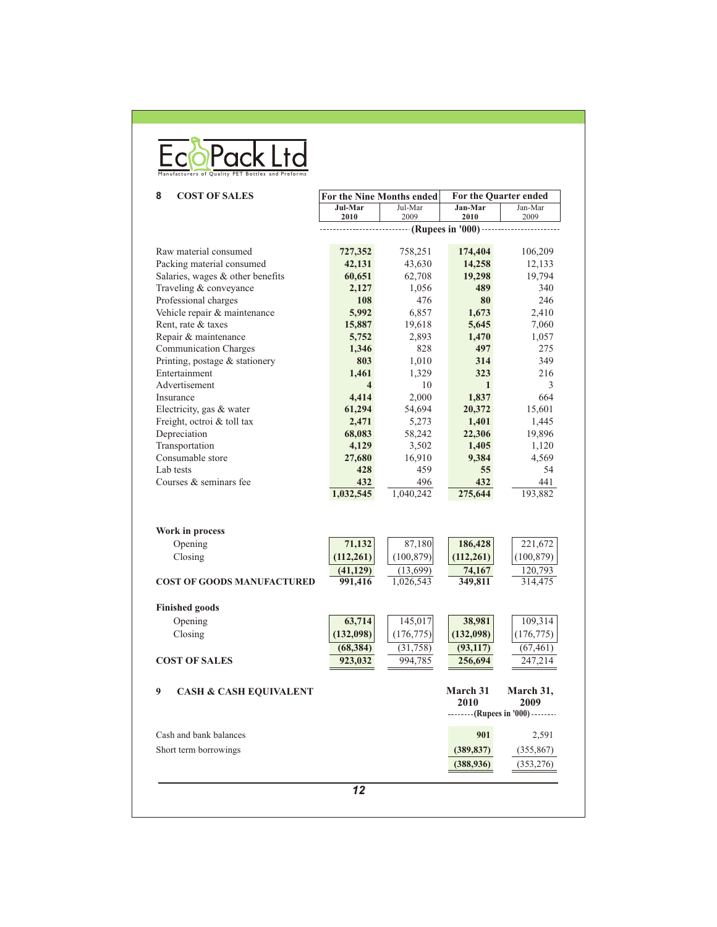| Manufacturers of Quality PET Bottles and Preforms |  |  |  |
|---------------------------------------------------|--|--|--|

| 8<br><b>COST OF SALES</b>              | For the Nine Months ended |                 | For the Quarter ended |                                    |
|----------------------------------------|---------------------------|-----------------|-----------------------|------------------------------------|
|                                        | Jul-Mar<br>2010           | Jul-Mar<br>2009 | Jan-Mar<br>2010       | Jan-Mar<br>2009                    |
|                                        |                           |                 | (Rupees in $'000$ )   |                                    |
| Raw material consumed                  | 727,352                   | 758,251         | 174,404               | 106,209                            |
| Packing material consumed              | 42,131                    | 43,630          | 14,258                | 12,133                             |
| Salaries, wages & other benefits       | 60,651                    | 62,708          | 19,298                | 19,794                             |
| Traveling & conveyance                 | 2,127                     | 1,056           | 489                   | 340                                |
| Professional charges                   | 108                       | 476             | 80                    | 246                                |
|                                        | 5,992                     |                 |                       | 2,410                              |
| Vehicle repair & maintenance           |                           | 6,857           | 1,673                 |                                    |
| Rent, rate & taxes                     | 15,887                    | 19,618          | 5,645                 | 7,060                              |
| Repair & maintenance                   | 5,752                     | 2,893           | 1,470                 | 1,057                              |
| <b>Communication Charges</b>           | 1,346                     | 828             | 497                   | 275                                |
| Printing, postage & stationery         | 803                       | 1,010           | 314                   | 349                                |
| Entertainment                          | 1,461                     | 1,329           | 323                   | 216                                |
| Advertisement                          | $\overline{\mathbf{4}}$   | 10              | 1                     | 3                                  |
| Insurance                              | 4,414                     | 2,000           | 1,837                 | 664                                |
| Electricity, gas & water               | 61,294                    | 54,694          | 20,372                | 15,601                             |
| Freight, octroi & toll tax             | 2,471                     | 5,273           | 1,401                 | 1,445                              |
| Depreciation                           | 68,083                    | 58,242          | 22,306                | 19,896                             |
| Transportation                         | 4,129                     | 3,502           | 1,405                 | 1,120                              |
| Consumable store                       | 27,680                    | 16,910          | 9,384                 | 4,569                              |
| Lab tests                              | 428                       | 459             | 55                    | 54                                 |
| Courses & seminars fee                 | 432                       | 496             | 432                   | 441                                |
|                                        | 1,032,545                 | 1,040,242       | 275,644               | 193,882                            |
|                                        |                           |                 |                       |                                    |
| Work in process                        |                           |                 |                       |                                    |
| Opening                                | 71,132                    | 87,180          | 186,428               | 221,672                            |
| Closing                                | (112, 261)                | (100, 879)      | (112, 261)            | (100, 879)                         |
|                                        | (41, 129)                 | (13,699)        | 74,167                | 120,793                            |
| <b>COST OF GOODS MANUFACTURED</b>      | 991,416                   | 1,026,543       | 349,811               | 314,475                            |
| <b>Finished goods</b>                  |                           |                 |                       |                                    |
| Opening                                | 63,714                    | 145,017         | 38,981                | 109,314                            |
| Closing                                | (132,098)                 | (176, 775)      | (132,098)             | (176, 775)                         |
|                                        | (68, 384)                 | (31,758)        | (93, 117)             | (67, 461)                          |
| <b>COST OF SALES</b>                   |                           |                 |                       |                                    |
|                                        | 923,032                   | 994,785         | 256,694               | 247,214                            |
| 9<br><b>CASH &amp; CASH EQUIVALENT</b> |                           |                 | March 31<br>2010      | March 31,<br>2009                  |
|                                        |                           |                 |                       | -------- (Rupees in '000) -------- |
| Cash and bank balances                 |                           |                 | 901                   | 2,591                              |
| Short term borrowings                  |                           |                 | (389, 837)            | (355, 867)                         |
|                                        |                           |                 | (388,936)             | (353,276)                          |
|                                        |                           |                 |                       |                                    |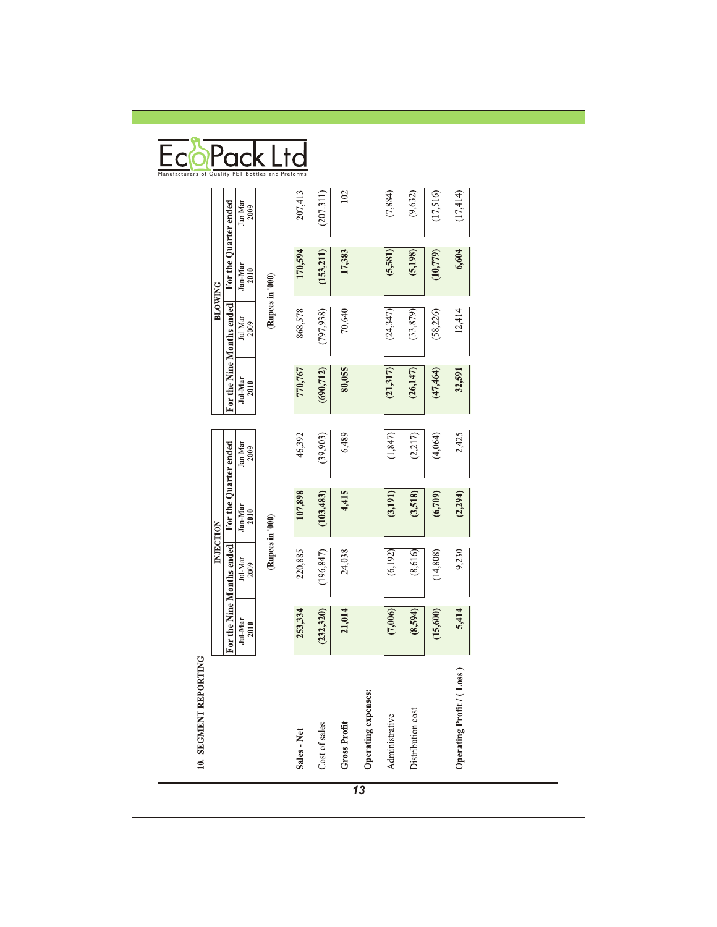